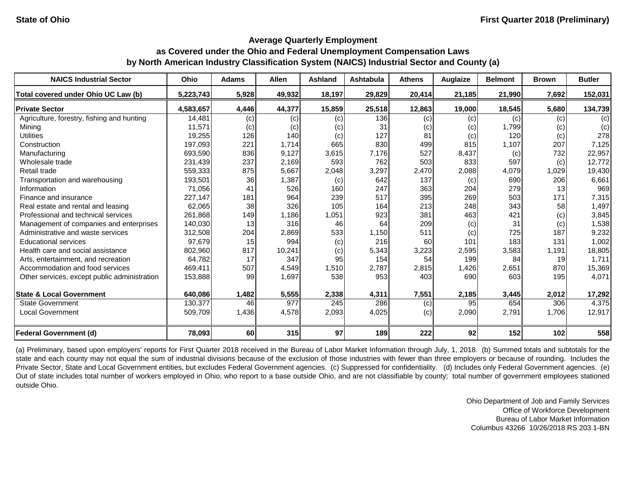#### **Average Quarterly Employment**

# **as Covered under the Ohio and Federal Unemployment Compensation Laws by North American Industry Classification System (NAICS) Industrial Sector and County (a)**

| <b>NAICS Industrial Sector</b>               | Ohio      | <b>Adams</b> | <b>Allen</b> | <b>Ashland</b> | <b>Ashtabula</b> | <b>Athens</b> | Auglaize | <b>Belmont</b> | <b>Brown</b> | <b>Butler</b> |
|----------------------------------------------|-----------|--------------|--------------|----------------|------------------|---------------|----------|----------------|--------------|---------------|
| Total covered under Ohio UC Law (b)          | 5,223,743 | 5,928        | 49,932       | 18,197         | 29,829           | 20,414        | 21,185   | 21,990         | 7,692        | 152,031       |
| <b>Private Sector</b>                        | 4,583,657 | 4,446        | 44,377       | 15,859         | 25,518           | 12,863        | 19,000   | 18,545         | 5,680        | 134,739       |
| Agriculture, forestry, fishing and hunting   | 14,481    | (c)          | (c)          | (c)            | 136              | (c)           | (c)      | (c)            | (c)          | (c)           |
| Mining                                       | 11,571    | (c)          | (c)          | (c)            | 31               | (c)           | (c)      | 1,799          | (c)          | (c)           |
| <b>Utilities</b>                             | 19,255    | 126          | 140          | (c)            | 127              | 81            | (c)      | 120            | (c)          | 278           |
| Construction                                 | 197,093   | 221          | 1,714        | 665            | 830              | 499           | 815      | 1,107          | 207          | 7,125         |
| Manufacturing                                | 693,590   | 836          | 9,127        | 3,615          | 7,176            | 527           | 8,437    | (c)            | 732          | 22,957        |
| Wholesale trade                              | 231,439   | 237          | 2,169        | 593            | 762              | 503           | 833      | 597            | (c)          | 12,772        |
| Retail trade                                 | 559,333   | 875          | 5,667        | 2,048          | 3,297            | 2,470         | 2,088    | 4,079          | 1,029        | 19,430        |
| Transportation and warehousing               | 193,501   | 36           | 1,387        | (c)            | 642              | 137           | (c)      | 690            | 206          | 6,661         |
| Information                                  | 71,056    | 41           | 526          | 160            | 247              | 363           | 204      | 279            | 13           | 969           |
| Finance and insurance                        | 227,147   | 181          | 964          | 239            | 517              | 395           | 269      | 503            | 171          | 7,315         |
| Real estate and rental and leasing           | 62,065    | 38           | 326          | 105            | 164              | 213           | 248      | 343            | 58           | 1,497         |
| Professional and technical services          | 261,868   | 149          | 1,186        | 1,051          | 923              | 381           | 463      | 421            | (c)          | 3,845         |
| Management of companies and enterprises      | 140,030   | 13           | 316          | 46             | 64               | 209           | (c)      | 31             | (c)          | 1,538         |
| Administrative and waste services            | 312,508   | 204          | 2,869        | 533            | 1,150            | 511           | (c)      | 725            | 187          | 9,232         |
| <b>Educational services</b>                  | 97,679    | 15           | 994          | (c)            | 216              | 60            | 101      | 183            | 131          | 1,002         |
| Health care and social assistance            | 802,960   | 817          | 10,241       | (c)            | 5,343            | 3,223         | 2,595    | 3,583          | 1,191        | 18,805        |
| Arts, entertainment, and recreation          | 64,782    | 17           | 347          | 95             | 154              | 54            | 199      | 84             | 19           | 1,711         |
| Accommodation and food services              | 469,411   | 507          | 4,549        | 1,510          | 2,787            | 2,815         | 1,426    | 2,651          | 870          | 15,369        |
| Other services, except public administration | 153,888   | 99           | 1,697        | 538            | 953              | 403           | 690      | 603            | 195          | 4,071         |
| <b>State &amp; Local Government</b>          | 640,086   | 1,482        | 5,555        | 2,338          | 4,311            | 7,551         | 2,185    | 3,445          | 2,012        | 17,292        |
| <b>State Government</b>                      | 130,377   | 46           | 977          | 245            | 286              | (c)           | 95       | 654            | 306          | 4,375         |
| <b>Local Government</b>                      | 509,709   | 1,436        | 4,578        | 2,093          | 4,025            | (c)           | 2,090    | 2,791          | 1,706        | 12,917        |
| <b>Federal Government (d)</b>                | 78,093    | 60           | 315          | 97             | 189              | 222           | 92       | 152            | 102          | 558           |

(a) Preliminary, based upon employers' reports for First Quarter 2018 received in the Bureau of Labor Market Information through July, 1, 2018. (b) Summed totals and subtotals for the state and each county may not equal the sum of industrial divisions because of the exclusion of those industries with fewer than three employers or because of rounding. Includes the Private Sector, State and Local Government entities, but excludes Federal Government agencies. (c) Suppressed for confidentiality. (d) Includes only Federal Government agencies. (e) Out of state includes total number of workers employed in Ohio, who report to a base outside Ohio, and are not classifiable by county; total number of government employees stationed outside Ohio.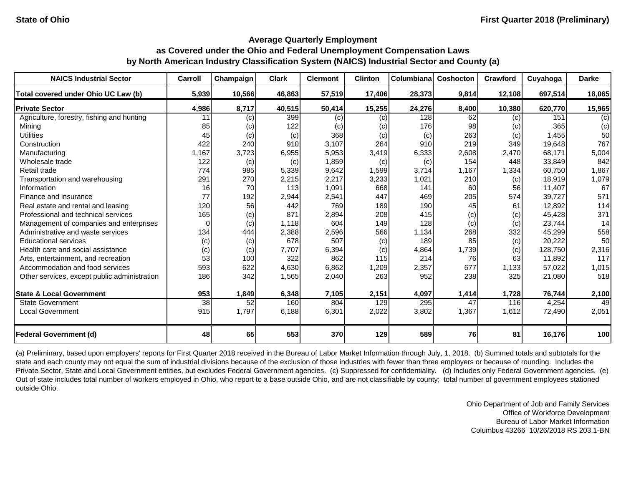| <b>NAICS Industrial Sector</b>               | Carroll         | Champaign | <b>Clark</b> | <b>Clermont</b> | <b>Clinton</b> | Columbiana | Coshocton | Crawford | Cuyahoga | <b>Darke</b> |
|----------------------------------------------|-----------------|-----------|--------------|-----------------|----------------|------------|-----------|----------|----------|--------------|
| Total covered under Ohio UC Law (b)          | 5,939           | 10,566    | 46,863       | 57,519          | 17,406         | 28,373     | 9,814     | 12,108   | 697,514  | 18,065       |
| <b>Private Sector</b>                        | 4,986           | 8,717     | 40,515       | 50,414          | 15,255         | 24,276     | 8,400     | 10,380   | 620,770  | 15,965       |
| Agriculture, forestry, fishing and hunting   | 11              | (c)       | 399          | (c)             | (c)            | 128        | 62        | (c)      | 151      | (c)          |
| Mining                                       | 85              | (c)       | 122          | (c)             | (c)            | 176        | 98        | (c)      | 365      | (c)          |
| <b>Utilities</b>                             | 45              | (c)       | (c)          | 368             | (c)            | (c)        | 263       | (c)      | 1,455    | 50           |
| Construction                                 | 422             | 240       | 910          | 3,107           | 264            | 910        | 219       | 349      | 19,648   | 767          |
| Manufacturing                                | 1,167           | 3,723     | 6,955        | 5,953           | 3,419          | 6,333      | 2,608     | 2,470    | 68,171   | 5,004        |
| Wholesale trade                              | 122             | (c)       | (c)          | 1,859           | (c)            | (c)        | 154       | 448      | 33,849   | 842          |
| Retail trade                                 | 774             | 985       | 5,339        | 9,642           | 1,599          | 3,714      | 1,167     | 1,334    | 60,750   | 1,867        |
| Transportation and warehousing               | 291             | 270       | 2,215        | 2,217           | 3,233          | 1,021      | 210       | (c)      | 18,919   | 1,079        |
| Information                                  | 16              | 70        | 113          | 1,091           | 668            | 141        | 60        | 56       | 11,407   | 67           |
| Finance and insurance                        | 77              | 192       | 2,944        | 2,541           | 447            | 469        | 205       | 574      | 39,727   | 571          |
| Real estate and rental and leasing           | 120             | 56        | 442          | 769             | 189            | 190        | 45        | 61       | 12,892   | 114          |
| Professional and technical services          | 165             | (c)       | 871          | 2,894           | 208            | 415        | (c)       | (c)      | 45,428   | 371          |
| Management of companies and enterprises      |                 | (c)       | 1,118        | 604             | 149            | 128        | (c)       | (c)      | 23,744   | 14           |
| Administrative and waste services            | 134             | 444       | 2,388        | 2,596           | 566            | 1,134      | 268       | 332      | 45,299   | 558          |
| <b>Educational services</b>                  | (c)             | (c)       | 678          | 507             | (c)            | 189        | 85        | (c)      | 20,222   | 50           |
| Health care and social assistance            | (c)             | (c)       | 7,707        | 6,394           | (c)            | 4,864      | 1,739     | (c)      | 128,750  | 2,316        |
| Arts, entertainment, and recreation          | 53              | 100       | 322          | 862             | 115            | 214        | 76        | 63       | 11,892   | 117          |
| Accommodation and food services              | 593             | 622       | 4,630        | 6,862           | 1,209          | 2,357      | 677       | 1,133    | 57,022   | 1,015        |
| Other services, except public administration | 186             | 342       | 1,565        | 2,040           | 263            | 952        | 238       | 325      | 21,080   | 518          |
| <b>State &amp; Local Government</b>          | 953             | 1,849     | 6,348        | 7,105           | 2,151          | 4,097      | 1,414     | 1,728    | 76,744   | 2,100        |
| <b>State Government</b>                      | $\overline{38}$ | 52        | 160          | 804             | 129            | 295        | 47        | 116      | 4,254    | 49           |
| <b>Local Government</b>                      | 915             | 1,797     | 6,188        | 6,301           | 2,022          | 3,802      | 1,367     | 1,612    | 72,490   | 2,051        |
| <b>Federal Government (d)</b>                | 48              | 65        | 553          | 370             | 129            | 589        | 76        | 81       | 16,176   | 100          |

(a) Preliminary, based upon employers' reports for First Quarter 2018 received in the Bureau of Labor Market Information through July, 1, 2018. (b) Summed totals and subtotals for the state and each county may not equal the sum of industrial divisions because of the exclusion of those industries with fewer than three employers or because of rounding. Includes the Private Sector, State and Local Government entities, but excludes Federal Government agencies. (c) Suppressed for confidentiality. (d) Includes only Federal Government agencies. (e) Out of state includes total number of workers employed in Ohio, who report to a base outside Ohio, and are not classifiable by county; total number of government employees stationed outside Ohio.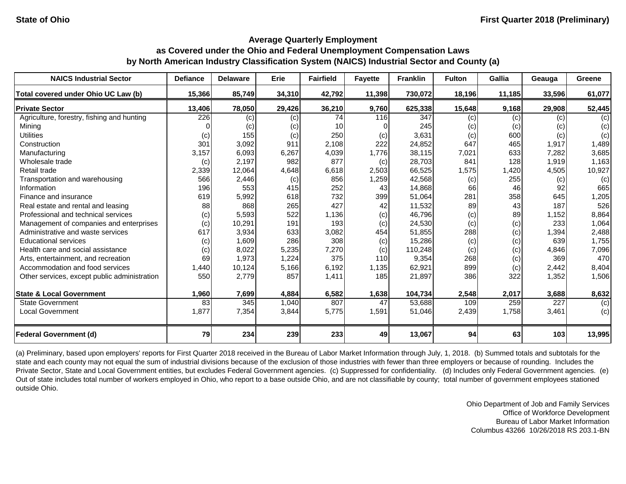| <b>NAICS Industrial Sector</b>               | <b>Defiance</b> | <b>Delaware</b> | <b>Erie</b> | <b>Fairfield</b> | <b>Fayette</b> | <b>Franklin</b> | <b>Fulton</b> | <b>Gallia</b> | Geauga | <b>Greene</b> |
|----------------------------------------------|-----------------|-----------------|-------------|------------------|----------------|-----------------|---------------|---------------|--------|---------------|
| Total covered under Ohio UC Law (b)          | 15,366          | 85,749          | 34,310      | 42,792           | 11,398         | 730,072         | 18,196        | 11,185        | 33,596 | 61,077        |
| <b>Private Sector</b>                        | 13,406          | 78,050          | 29,426      | 36,210           | 9,760          | 625,338         | 15,648        | 9,168         | 29,908 | 52,445        |
| Agriculture, forestry, fishing and hunting   | 226             | (c)             | (c)         | 74               | 116            | 347             | (c)           | (c)           | (c)    | (c)           |
| Mining                                       |                 | (c)             | (c)         | 10               |                | 245             | (c)           | (c)           | (c)    | (c)           |
| <b>Utilities</b>                             | (c)             | 155             | (c)         | 250              | (c)            | 3,631           | (c)           | 600           | (c)    | (c)           |
| Construction                                 | 301             | 3,092           | 911         | 2,108            | 222            | 24,852          | 647           | 465           | 1,917  | 1,489         |
| Manufacturing                                | 3,157           | 6,093           | 6,267       | 4,039            | 1,776          | 38,115          | 7,021         | 633           | 7,282  | 3,685         |
| Wholesale trade                              | (c)             | 2,197           | 982         | 877              | (c)            | 28,703          | 841           | 128           | 1,919  | 1,163         |
| Retail trade                                 | 2,339           | 12,064          | 4,648       | 6,618            | 2,503          | 66,525          | 1,575         | 1,420         | 4,505  | 10,927        |
| Transportation and warehousing               | 566             | 2,446           | (c)         | 856              | 1,259          | 42,568          | (c)           | 255           | (c)    | (c)           |
| Information                                  | 196             | 553             | 415         | 252              | 43             | 14,868          | 66            | 46            | 92     | 665           |
| Finance and insurance                        | 619             | 5,992           | 618         | 732              | 399            | 51,064          | 281           | 358           | 645    | 1,205         |
| Real estate and rental and leasing           | 88              | 868             | 265         | 427              | 42             | 11,532          | 89            | 43            | 187    | 526           |
| Professional and technical services          | (c)             | 5,593           | 522         | 1,136            | (c)            | 46,796          | (c)           | 89            | 1,152  | 8,864         |
| Management of companies and enterprises      | (c)             | 10,291          | 191         | 193              | (c)            | 24,530          | (c)           | (c)           | 233    | 1,064         |
| Administrative and waste services            | 617             | 3,934           | 633         | 3,082            | 454            | 51,855          | 288           | (c)           | 1,394  | 2,488         |
| <b>Educational services</b>                  | (c)             | 1,609           | 286         | 308              | (c)            | 15,286          | (c)           | (c)           | 639    | 1,755         |
| Health care and social assistance            | (c)             | 8,022           | 5,235       | 7,270            | (c)            | 110,248         | (c)           | (c)           | 4,846  | 7,096         |
| Arts, entertainment, and recreation          | 69              | 1,973           | 1,224       | 375              | 110            | 9,354           | 268           | (c)           | 369    | 470           |
| Accommodation and food services              | 1,440           | 10,124          | 5,166       | 6,192            | 1,135          | 62,921          | 899           | (c)           | 2,442  | 8,404         |
| Other services, except public administration | 550             | 2,779           | 857         | 1,411            | 185            | 21,897          | 386           | 322           | 1,352  | 1,506         |
| <b>State &amp; Local Government</b>          | 1,960           | 7,699           | 4,884       | 6,582            | 1,638          | 104,734         | 2,548         | 2,017         | 3,688  | 8,632         |
| <b>State Government</b>                      | 83              | 345             | 1,040       | 807              | 47             | 53,688          | 109           | 259           | 227    | (c)           |
| <b>Local Government</b>                      | 1,877           | 7,354           | 3,844       | 5,775            | 1,591          | 51,046          | 2,439         | 1,758         | 3,461  | (c)           |
| <b>Federal Government (d)</b>                | 79              | 234             | 239         | 233              | 49             | 13,067          | 94            | 63            | 103    | 13,995        |

(a) Preliminary, based upon employers' reports for First Quarter 2018 received in the Bureau of Labor Market Information through July, 1, 2018. (b) Summed totals and subtotals for the state and each county may not equal the sum of industrial divisions because of the exclusion of those industries with fewer than three employers or because of rounding. Includes the Private Sector, State and Local Government entities, but excludes Federal Government agencies. (c) Suppressed for confidentiality. (d) Includes only Federal Government agencies. (e) Out of state includes total number of workers employed in Ohio, who report to a base outside Ohio, and are not classifiable by county; total number of government employees stationed outside Ohio.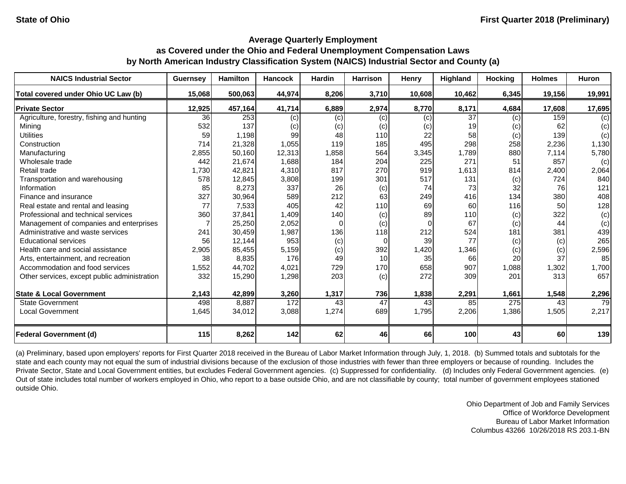| <b>NAICS Industrial Sector</b>               | <b>Guernsey</b> | <b>Hamilton</b> | <b>Hancock</b> | Hardin | <b>Harrison</b> | <b>Henry</b> | <b>Highland</b> | <b>Hocking</b> | <b>Holmes</b> | Huron  |
|----------------------------------------------|-----------------|-----------------|----------------|--------|-----------------|--------------|-----------------|----------------|---------------|--------|
| Total covered under Ohio UC Law (b)          | 15,068          | 500,063         | 44,974         | 8,206  | 3,710           | 10,608       | 10,462          | 6,345          | 19,156        | 19,991 |
| <b>Private Sector</b>                        | 12,925          | 457,164         | 41,714         | 6,889  | 2,974           | 8,770        | 8,171           | 4,684          | 17,608        | 17,695 |
| Agriculture, forestry, fishing and hunting   | 36              | 253             | (c)            | (c)    | (c)             | $\left( $    | $\overline{37}$ | (c)            | 159           | (c)    |
| Mining                                       | 532             | 137             | (c)            | (c)    | (c)             | (c)          | 19              | (c)            | 62            | (c)    |
| <b>Utilities</b>                             | 59              | 1,198           | 99             | 48     | 110             | 22           | 58              | (c)            | 139           | (c)    |
| Construction                                 | 714             | 21,328          | 1,055          | 119    | 185             | 495          | 298             | 258            | 2,236         | 1,130  |
| Manufacturing                                | 2,855           | 50,160          | 12,313         | 1,858  | 564             | 3,345        | 1,789           | 880            | 7,114         | 5,780  |
| Wholesale trade                              | 442             | 21,674          | 1,688          | 184    | 204             | 225          | 271             | 51             | 857           | (c)    |
| Retail trade                                 | 1,730           | 42,821          | 4,310          | 817    | 270             | 919          | 1,613           | 814            | 2,400         | 2,064  |
| Transportation and warehousing               | 578             | 12,845          | 3,808          | 199    | 301             | 517          | 131             | (c)            | 724           | 840    |
| Information                                  | 85              | 8,273           | 337            | 26     | (c)             | 74           | 73              | 32             | 76            | 121    |
| Finance and insurance                        | 327             | 30,964          | 589            | 212    | 63              | 249          | 416             | 134            | 380           | 408    |
| Real estate and rental and leasing           | 77              | 7,533           | 405            | 42     | 110             | 69           | 60              | 116            | 50            | 128    |
| Professional and technical services          | 360             | 37,841          | 1,409          | 140    | (c)             | 89           | 110             | (c)            | 322           | (c)    |
| Management of companies and enterprises      |                 | 25,250          | 2,052          | 0      | (c)             |              | 67              | (c)            | 44            | (c)    |
| Administrative and waste services            | 241             | 30,459          | 1,987          | 136    | 118             | 212          | 524             | 181            | 381           | 439    |
| <b>Educational services</b>                  | 56              | 12,144          | 953            | (c)    | $\overline{0}$  | 39           | 77              | (c)            | (c)           | 265    |
| Health care and social assistance            | 2,905           | 85,455          | 5,159          | (c)    | 392             | 1,420        | 1,346           | (c)            | (c)           | 2,596  |
| Arts, entertainment, and recreation          | 38              | 8,835           | 176            | 49     | 10              | 35           | 66              | 20             | 37            | 85     |
| Accommodation and food services              | 1,552           | 44,702          | 4,021          | 729    | 170             | 658          | 907             | 1,088          | 1,302         | 1,700  |
| Other services, except public administration | 332             | 15,290          | 1,298          | 203    | (c)             | 272          | 309             | 201            | 313           | 657    |
| <b>State &amp; Local Government</b>          | 2,143           | 42,899          | 3,260          | 1,317  | 736             | 1,838        | 2,291           | 1,661          | 1,548         | 2,296  |
| <b>State Government</b>                      | 498             | 8,887           | 172            | 43     | $\overline{47}$ | 43           | 85              | 275            | 43            | 79     |
| <b>Local Government</b>                      | 1,645           | 34,012          | 3,088          | 1,274  | 689             | 1,795        | 2,206           | 1,386          | 1,505         | 2,217  |
| <b>Federal Government (d)</b>                | 115             | 8,262           | 142            | 62     | 46              | 66           | 100             | 43             | 60            | 139    |

(a) Preliminary, based upon employers' reports for First Quarter 2018 received in the Bureau of Labor Market Information through July, 1, 2018. (b) Summed totals and subtotals for the state and each county may not equal the sum of industrial divisions because of the exclusion of those industries with fewer than three employers or because of rounding. Includes the Private Sector, State and Local Government entities, but excludes Federal Government agencies. (c) Suppressed for confidentiality. (d) Includes only Federal Government agencies. (e) Out of state includes total number of workers employed in Ohio, who report to a base outside Ohio, and are not classifiable by county; total number of government employees stationed outside Ohio.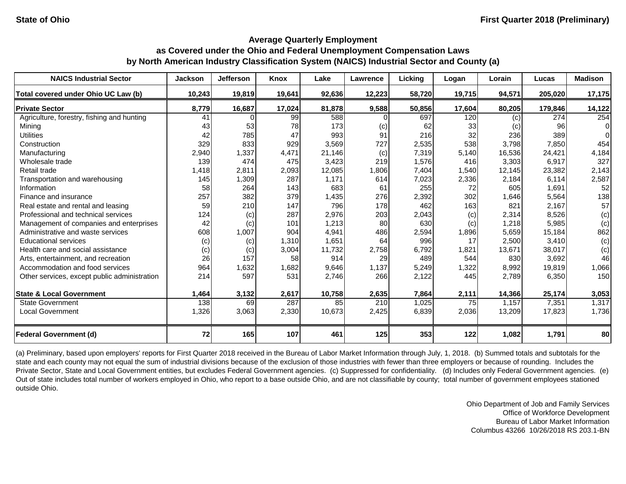| <b>NAICS Industrial Sector</b>               | <b>Jackson</b> | <b>Jefferson</b> | <b>Knox</b> | Lake   | Lawrence         | Licking | Logan  | Lorain | Lucas   | <b>Madison</b> |
|----------------------------------------------|----------------|------------------|-------------|--------|------------------|---------|--------|--------|---------|----------------|
| Total covered under Ohio UC Law (b)          | 10,243         | 19,819           | 19,641      | 92,636 | 12,223           | 58,720  | 19,715 | 94,571 | 205,020 | 17,175         |
| <b>Private Sector</b>                        | 8,779          | 16,687           | 17,024      | 81,878 | 9,588            | 50,856  | 17,604 | 80,205 | 179,846 | 14,122         |
| Agriculture, forestry, fishing and hunting   | 41             |                  | 99          | 588    |                  | 697     | 120    | (c)    | 274     | 254            |
| Mining                                       | 43             | 53               | 78          | 173    | (c)              | 62      | 33     | (c)    | 96      | $\Omega$       |
| <b>Utilities</b>                             | 42             | 785              | 47          | 993    | 91               | 216     | 32     | 236    | 389     | $\Omega$       |
| Construction                                 | 329            | 833              | 929         | 3,569  | 727              | 2,535   | 538    | 3,798  | 7,850   | 454            |
| Manufacturing                                | 2,940          | 1,337            | 4,471       | 21,146 | (c)              | 7,319   | 5,140  | 16,536 | 24,421  | 4,184          |
| Wholesale trade                              | 139            | 474              | 475         | 3,423  | 219              | 1,576   | 416    | 3,303  | 6,917   | 327            |
| Retail trade                                 | 1,418          | 2,811            | 2,093       | 12,085 | 1,806            | 7,404   | 1,540  | 12,145 | 23,382  | 2,143          |
| Transportation and warehousing               | 145            | 1,309            | 287         | 1,171  | 614              | 7,023   | 2,336  | 2,184  | 6,114   | 2,587          |
| Information                                  | 58             | 264              | 143         | 683    | 61               | 255     | 72     | 605    | 1,691   | 52             |
| Finance and insurance                        | 257            | 382              | 379         | 1,435  | 276              | 2,392   | 302    | 1,646  | 5,564   | 138            |
| Real estate and rental and leasing           | 59             | 210              | 147         | 796    | 178              | 462     | 163    | 821    | 2,167   | 57             |
| Professional and technical services          | 124            | (c)              | 287         | 2,976  | 203              | 2,043   | (c)    | 2,314  | 8,526   | (c)            |
| Management of companies and enterprises      | 42             | (c)              | 101         | 1,213  | 80               | 630     | (c)    | 1,218  | 5,985   | (c)            |
| Administrative and waste services            | 608            | 1,007            | 904         | 4,941  | 486              | 2,594   | 1,896  | 5,659  | 15,184  | 862            |
| <b>Educational services</b>                  | (c)            | (c)              | 1,310       | 1,651  | 64               | 996     | 17     | 2,500  | 3,410   | (c)            |
| Health care and social assistance            | (c)            | (c)              | 3,004       | 11,732 | 2,758            | 6,792   | 1,821  | 13,671 | 38,017  | (c)            |
| Arts, entertainment, and recreation          | 26             | 157              | 58          | 914    | 29               | 489     | 544    | 830    | 3,692   | 46             |
| Accommodation and food services              | 964            | 1,632            | 1,682       | 9,646  | 1,137            | 5,249   | 1,322  | 8,992  | 19,819  | 1,066          |
| Other services, except public administration | 214            | 597              | 531         | 2,746  | 266              | 2,122   | 445    | 2,789  | 6,350   | 150            |
| <b>State &amp; Local Government</b>          | 1,464          | 3,132            | 2,617       | 10,758 | 2,635            | 7,864   | 2,111  | 14,366 | 25,174  | 3,053          |
| <b>State Government</b>                      | 138            | 69               | 287         | 85     | $\overline{210}$ | 1,025   | 75     | 1,157  | 7,351   | 1,317          |
| <b>Local Government</b>                      | 1,326          | 3,063            | 2,330       | 10,673 | 2,425            | 6,839   | 2,036  | 13,209 | 17,823  | 1,736          |
| <b>Federal Government (d)</b>                | 72             | 165              | 107         | 461    | 125              | 353     | 122    | 1,082  | 1,791   | 80             |

(a) Preliminary, based upon employers' reports for First Quarter 2018 received in the Bureau of Labor Market Information through July, 1, 2018. (b) Summed totals and subtotals for the state and each county may not equal the sum of industrial divisions because of the exclusion of those industries with fewer than three employers or because of rounding. Includes the Private Sector, State and Local Government entities, but excludes Federal Government agencies. (c) Suppressed for confidentiality. (d) Includes only Federal Government agencies. (e) Out of state includes total number of workers employed in Ohio, who report to a base outside Ohio, and are not classifiable by county; total number of government employees stationed outside Ohio.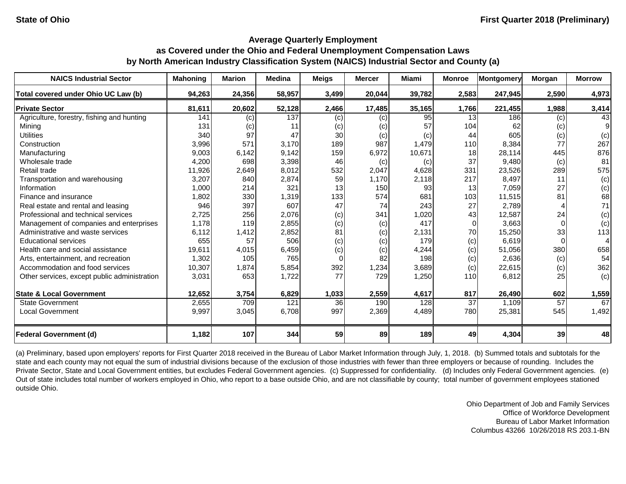| <b>NAICS Industrial Sector</b>               | <b>Mahoning</b> | <b>Marion</b> | <b>Medina</b> | <b>Meigs</b> | <b>Mercer</b> | <b>Miami</b> | <b>Monroe</b> | Montgomery | <b>Morgan</b> | <b>Morrow</b> |
|----------------------------------------------|-----------------|---------------|---------------|--------------|---------------|--------------|---------------|------------|---------------|---------------|
| Total covered under Ohio UC Law (b)          | 94,263          | 24,356        | 58,957        | 3,499        | 20,044        | 39,782       | 2,583         | 247,945    | 2,590         | 4,973         |
| <b>Private Sector</b>                        | 81,611          | 20,602        | 52,128        | 2,466        | 17,485        | 35,165       | 1,766         | 221,455    | 1,988         | 3,414         |
| Agriculture, forestry, fishing and hunting   | 141             | (c)           | 137           | (c)          | (c)           | 95           | 13            | 186        | (c)           | 43            |
| Mining                                       | 131             | (c)           | 11            | (c)          | (c)           | 57           | 104           | 62         | (c)           | 9             |
| <b>Utilities</b>                             | 340             | 97            | 47            | 30           | (c)           | (c)          | 44            | 605        | (c)           | (c)           |
| Construction                                 | 3,996           | 571           | 3,170         | 189          | 987           | 1,479        | 110           | 8,384      | 77            | 267           |
| Manufacturing                                | 9,003           | 6,142         | 9,142         | 159          | 6,972         | 10,671       | 18            | 28,114     | 445           | 876           |
| Wholesale trade                              | 4,200           | 698           | 3,398         | 46           | (c)           | (c)          | 37            | 9,480      | (c)           | 81            |
| Retail trade                                 | 11,926          | 2,649         | 8,012         | 532          | 2,047         | 4,628        | 331           | 23,526     | 289           | 575           |
| Transportation and warehousing               | 3,207           | 840           | 2,874         | 59           | 1,170         | 2,118        | 217           | 8,497      | 11            | (c)           |
| Information                                  | 1,000           | 214           | 321           | 13           | 150           | 93           | 13            | 7,059      | 27            | (c)           |
| Finance and insurance                        | 1,802           | 330           | 1,319         | 133          | 574           | 681          | 103           | 11,515     | 81            | 68            |
| Real estate and rental and leasing           | 946             | 397           | 607           | 47           | 74            | 243          | 27            | 2,789      |               | 71            |
| Professional and technical services          | 2,725           | 256           | 2,076         | (c)          | 341           | 1,020        | 43            | 12,587     | 24            | (c)           |
| Management of companies and enterprises      | 1,178           | 119           | 2,855         | (c)          | (c)           | 417          | $\Omega$      | 3,663      |               | (c)           |
| Administrative and waste services            | 6,112           | 1,412         | 2,852         | 81           | (c)           | 2,131        | 70            | 15,250     | 33            | 113           |
| <b>Educational services</b>                  | 655             | 57            | 506           | (c)          | (c)           | 179          | (c)           | 6,619      |               |               |
| Health care and social assistance            | 19,611          | 4,015         | 6,459         | (c)          | (c)           | 4,244        | (c)           | 51,056     | 380           | 658           |
| Arts, entertainment, and recreation          | 1,302           | 105           | 765           | $\Omega$     | 82            | 198          | (c)           | 2,636      | (c)           | 54            |
| Accommodation and food services              | 10,307          | 1,874         | 5,854         | 392          | 1,234         | 3,689        | (c)           | 22,615     | (c)           | 362           |
| Other services, except public administration | 3,031           | 653           | 1,722         | 77           | 729           | 1,250        | 110           | 6,812      | 25            | (c)           |
| <b>State &amp; Local Government</b>          | 12,652          | 3,754         | 6,829         | 1,033        | 2,559         | 4,617        | 817           | 26,490     | 602           | 1,559         |
| <b>State Government</b>                      | 2,655           | 709           | 121           | 36           | 190           | 128          | 37            | 1,109      | 57            | 67            |
| <b>Local Government</b>                      | 9,997           | 3,045         | 6,708         | 997          | 2,369         | 4,489        | 780           | 25,381     | 545           | 1,492         |
| <b>Federal Government (d)</b>                | 1,182           | 107           | 344           | 59           | 89            | 189          | 49            | 4,304      | 39            | 48            |

(a) Preliminary, based upon employers' reports for First Quarter 2018 received in the Bureau of Labor Market Information through July, 1, 2018. (b) Summed totals and subtotals for the state and each county may not equal the sum of industrial divisions because of the exclusion of those industries with fewer than three employers or because of rounding. Includes the Private Sector, State and Local Government entities, but excludes Federal Government agencies. (c) Suppressed for confidentiality. (d) Includes only Federal Government agencies. (e) Out of state includes total number of workers employed in Ohio, who report to a base outside Ohio, and are not classifiable by county; total number of government employees stationed outside Ohio.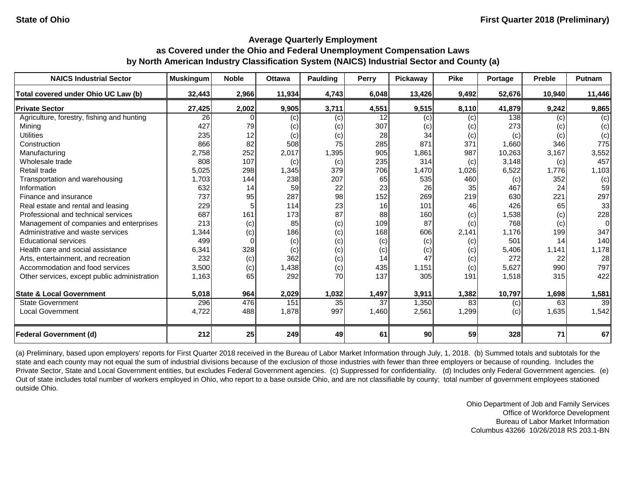# **Average Quarterly Employment as Covered under the Ohio and Federal Unemployment Compensation Laws**

| by North American Industry Classification System (NAICS) Industrial Sector and County (a) |  |  |  |  |
|-------------------------------------------------------------------------------------------|--|--|--|--|
|-------------------------------------------------------------------------------------------|--|--|--|--|

| <b>NAICS Industrial Sector</b>               | <b>Muskingum</b> | <b>Noble</b> | <b>Ottawa</b> | <b>Paulding</b> | <b>Perry</b> | Pickaway | <b>Pike</b> | Portage | <b>Preble</b> | Putnam         |
|----------------------------------------------|------------------|--------------|---------------|-----------------|--------------|----------|-------------|---------|---------------|----------------|
| Total covered under Ohio UC Law (b)          | 32,443           | 2,966        | 11,934        | 4,743           | 6,048        | 13,426   | 9,492       | 52,676  | 10,940        | 11,446         |
| <b>Private Sector</b>                        | 27,425           | 2,002        | 9,905         | 3,711           | 4,551        | 9,515    | 8,110       | 41,879  | 9,242         | 9,865          |
| Agriculture, forestry, fishing and hunting   | 26               |              | (c)           | (c)             | 12           | (c)      | (c)         | 138     | (c)           | (c)            |
| Mining                                       | 427              | 79           | (c)           | (c)             | 307          | (c)      | (c)         | 273     | (c)           | (c)            |
| <b>Utilities</b>                             | 235              | 12           | (c)           | (c)             | 28           | 34       | (c)         | (c)     | (c)           | (c)            |
| Construction                                 | 866              | 82           | 508           | 75              | 285          | 871      | 371         | 1,660   | 346           | 775            |
| Manufacturing                                | 2,758            | 252          | 2,017         | 1,395           | 905          | 1,861    | 987         | 10,263  | 3,167         | 3,552          |
| Wholesale trade                              | 808              | 107          | (c)           | (c)             | 235          | 314      | (c)         | 3,148   | (c)           | 457            |
| Retail trade                                 | 5,025            | 298          | 1,345         | 379             | 706          | 1,470    | 1,026       | 6,522   | 1,776         | 1,103          |
| Transportation and warehousing               | 1,703            | 144          | 238           | 207             | 65           | 535      | 460         | (c)     | 352           | (c)            |
| Information                                  | 632              | 14           | 59            | 22              | 23           | 26       | 35          | 467     | 24            | 59             |
| Finance and insurance                        | 737              | 95           | 287           | 98              | 152          | 269      | 219         | 630     | 221           | 297            |
| Real estate and rental and leasing           | 229              |              | 114           | 23              | 16           | 101      | 46          | 426     | 65            | 33             |
| Professional and technical services          | 687              | 161          | 173           | 87              | 88           | 160      | (c)         | 1,538   | (c)           | 228            |
| Management of companies and enterprises      | 213              | (c)          | 85            | (c)             | 109          | 87       | (c)         | 768     | (c)           | $\overline{0}$ |
| Administrative and waste services            | 1,344            | (c)          | 186           | (c)             | 168          | 606      | 2,141       | 1,176   | 199           | 347            |
| <b>Educational services</b>                  | 499              |              | (c)           | (c)             | (c)          | (c)      | (c)         | 501     | 14            | 140            |
| Health care and social assistance            | 6,341            | 328          | (c)           | (c)             | (c)          | (c)      | (c)         | 5,406   | 1,141         | 1,178          |
| Arts, entertainment, and recreation          | 232              | (c)          | 362           | (c)             | 14           | 47       | (c)         | 272     | 22            | 28             |
| Accommodation and food services              | 3,500            | (c)          | 1,438         | (c)             | 435          | 1,151    | (c)         | 5,627   | 990           | 797            |
| Other services, except public administration | 1,163            | 65           | 292           | 70              | 137          | 305      | 191         | 1,518   | 315           | 422            |
| <b>State &amp; Local Government</b>          | 5,018            | 964          | 2,029         | 1,032           | 1,497        | 3,911    | 1,382       | 10,797  | 1,698         | 1,581          |
| <b>State Government</b>                      | 296              | 476          | 151           | 35              | 37           | 1,350    | 83          | (c)     | 63            | 39             |
| <b>Local Government</b>                      | 4,722            | 488          | 1,878         | 997             | 1,460        | 2,561    | 1,299       | (c)     | 1,635         | 1,542          |
| <b>Federal Government (d)</b>                | 212              | 25           | 249           | 49              | 61           | 90       | 59          | 328     | 71            | 67             |

(a) Preliminary, based upon employers' reports for First Quarter 2018 received in the Bureau of Labor Market Information through July, 1, 2018. (b) Summed totals and subtotals for the state and each county may not equal the sum of industrial divisions because of the exclusion of those industries with fewer than three employers or because of rounding. Includes the Private Sector, State and Local Government entities, but excludes Federal Government agencies. (c) Suppressed for confidentiality. (d) Includes only Federal Government agencies. (e) Out of state includes total number of workers employed in Ohio, who report to a base outside Ohio, and are not classifiable by county; total number of government employees stationed outside Ohio.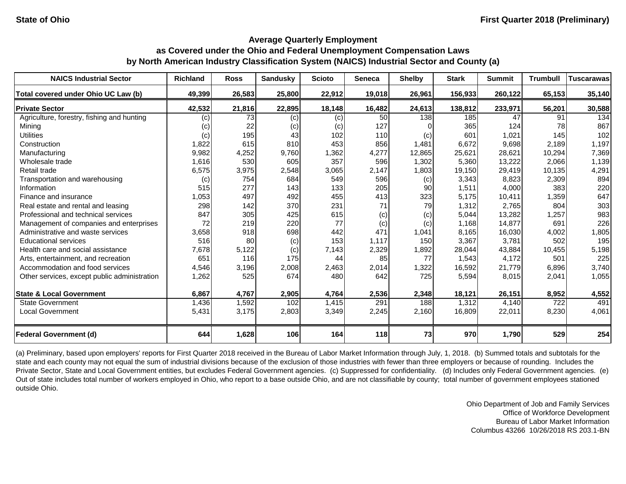| <b>NAICS Industrial Sector</b>               | <b>Richland</b> | <b>Ross</b> | <b>Sandusky</b> | <b>Scioto</b> | <b>Seneca</b> | <b>Shelby</b> | <b>Stark</b> | <b>Summit</b> | <b>Trumbull</b> | <b>Tuscarawas</b> |
|----------------------------------------------|-----------------|-------------|-----------------|---------------|---------------|---------------|--------------|---------------|-----------------|-------------------|
| Total covered under Ohio UC Law (b)          | 49,399          | 26,583      | 25,800          | 22,912        | 19,018        | 26,961        | 156,933      | 260,122       | 65,153          | 35,140            |
| <b>Private Sector</b>                        | 42,532          | 21,816      | 22,895          | 18,148        | 16,482        | 24,613        | 138,812      | 233,971       | 56,201          | 30,588            |
| Agriculture, forestry, fishing and hunting   | (c)             | 73          | (c)             | (c)           | 50            | 138           | 185          | 47            | 91              | 134               |
| Mining                                       | (c)             | 22          | (c)             | (c)           | 127           |               | 365          | 124           | 78              | 867               |
| <b>Utilities</b>                             | (c)             | 195         | 43              | 102           | 110           | (c)           | 601          | 1,021         | 145             | 102               |
| Construction                                 | 1,822           | 615         | 810             | 453           | 856           | 1,481         | 6,672        | 9,698         | 2,189           | 1,197             |
| Manufacturing                                | 9,982           | 4,252       | 9,760           | 1,362         | 4,277         | 12,865        | 25,621       | 28,621        | 10,294          | 7,369             |
| Wholesale trade                              | 1,616           | 530         | 605             | 357           | 596           | 1,302         | 5,360        | 13,222        | 2,066           | 1,139             |
| Retail trade                                 | 6,575           | 3,975       | 2,548           | 3,065         | 2,147         | 1,803         | 19,150       | 29,419        | 10,135          | 4,291             |
| Transportation and warehousing               | (c)             | 754         | 684             | 549           | 596           | (c)           | 3,343        | 8,823         | 2,309           | 894               |
| Information                                  | 515             | 277         | 143             | 133           | 205           | 90            | 1,511        | 4,000         | 383             | 220               |
| Finance and insurance                        | 1,053           | 497         | 492             | 455           | 413           | 323           | 5,175        | 10,411        | 1,359           | 647               |
| Real estate and rental and leasing           | 298             | 142         | 370             | 231           | 71            | 79            | 1,312        | 2,765         | 804             | 303               |
| Professional and technical services          | 847             | 305         | 425             | 615           | (c)           | (c)           | 5,044        | 13,282        | 1,257           | 983               |
| Management of companies and enterprises      | 72              | 219         | 220             | 77            | (c)           | (c)           | 1,168        | 14,877        | 691             | 226               |
| Administrative and waste services            | 3,658           | 918         | 698             | 442           | 471           | 1,041         | 8,165        | 16,030        | 4,002           | 1,805             |
| <b>Educational services</b>                  | 516             | 80          | (c)             | 153           | 1,117         | 150           | 3,367        | 3,781         | 502             | 195               |
| Health care and social assistance            | 7,678           | 5,122       | (c)             | 7,143         | 2,329         | 1,892         | 28,044       | 43,884        | 10,455          | 5,198             |
| Arts, entertainment, and recreation          | 651             | 116         | 175             | 44            | 85            | 77            | 1,543        | 4,172         | 501             | 225               |
| Accommodation and food services              | 4,546           | 3,196       | 2,008           | 2,463         | 2,014         | 1,322         | 16,592       | 21,779        | 6,896           | 3,740             |
| Other services, except public administration | 1,262           | 525         | 674             | 480           | 642           | 725           | 5,594        | 8,015         | 2,041           | 1,055             |
| <b>State &amp; Local Government</b>          | 6,867           | 4,767       | 2,905           | 4,764         | 2,536         | 2,348         | 18,121       | 26,151        | 8,952           | 4,552             |
| <b>State Government</b>                      | 1,436           | 1,592       | 102             | 1,415         | 291           | 188           | 1,312        | 4,140         | 722             | 491               |
| <b>Local Government</b>                      | 5,431           | 3,175       | 2,803           | 3,349         | 2,245         | 2,160         | 16,809       | 22,011        | 8,230           | 4,061             |
| <b>Federal Government (d)</b>                | 644             | 1,628       | 106             | 164           | 118           | 73            | 970          | 1,790         | 529             | 254               |

(a) Preliminary, based upon employers' reports for First Quarter 2018 received in the Bureau of Labor Market Information through July, 1, 2018. (b) Summed totals and subtotals for the state and each county may not equal the sum of industrial divisions because of the exclusion of those industries with fewer than three employers or because of rounding. Includes the Private Sector, State and Local Government entities, but excludes Federal Government agencies. (c) Suppressed for confidentiality. (d) Includes only Federal Government agencies. (e) Out of state includes total number of workers employed in Ohio, who report to a base outside Ohio, and are not classifiable by county; total number of government employees stationed outside Ohio.